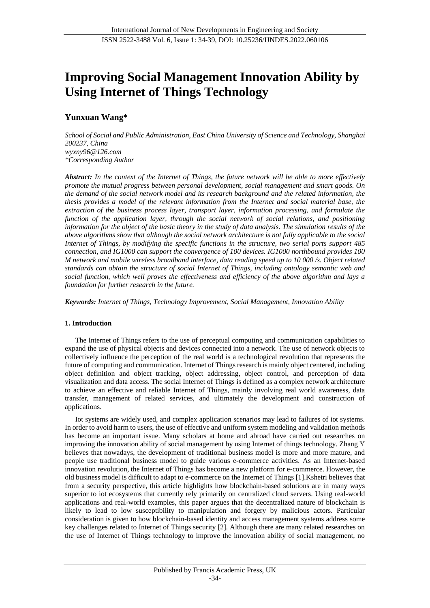# **Improving Social Management Innovation Ability by Using Internet of Things Technology**

# **Yunxuan Wang\***

*School of Social and Public Administration, East China University of Science and Technology, Shanghai 200237, China [wyxny96@126.com](mailto:wyxny96@126.com) \*Corresponding Author*

*Abstract: In the context of the Internet of Things, the future network will be able to more effectively promote the mutual progress between personal development, social management and smart goods. On the demand of the social network model and its research background and the related information, the thesis provides a model of the relevant information from the Internet and social material base, the extraction of the business process layer, transport layer, information processing, and formulate the function of the application layer, through the social network of social relations, and positioning information for the object of the basic theory in the study of data analysis. The simulation results of the above algorithms show that although the social network architecture is not fully applicable to the social Internet of Things, by modifying the specific functions in the structure, two serial ports support 485 connection, and IG1000 can support the convergence of 100 devices. IG1000 northbound provides 100 M network and mobile wireless broadband interface, data reading speed up to 10 000 /s. Object related standards can obtain the structure of social Internet of Things, including ontology semantic web and social function, which well proves the effectiveness and efficiency of the above algorithm and lays a foundation for further research in the future.*

*Keywords: Internet of Things, Technology Improvement, Social Management, Innovation Ability*

# **1. Introduction**

The Internet of Things refers to the use of perceptual computing and communication capabilities to expand the use of physical objects and devices connected into a network. The use of network objects to collectively influence the perception of the real world is a technological revolution that represents the future of computing and communication. Internet of Things research is mainly object centered, including object definition and object tracking, object addressing, object control, and perception of data visualization and data access. The social Internet of Things is defined as a complex network architecture to achieve an effective and reliable Internet of Things, mainly involving real world awareness, data transfer, management of related services, and ultimately the development and construction of applications.

Iot systems are widely used, and complex application scenarios may lead to failures of iot systems. In order to avoid harm to users, the use of effective and uniform system modeling and validation methods has become an important issue. Many scholars at home and abroad have carried out researches on improving the innovation ability of social management by using Internet of things technology. Zhang Y believes that nowadays, the development of traditional business model is more and more mature, and people use traditional business model to guide various e-commerce activities. As an Internet-based innovation revolution, the Internet of Things has become a new platform for e-commerce. However, the old business model is difficult to adapt to e-commerce on the Internet of Things [1].Kshetri believes that from a security perspective, this article highlights how blockchain-based solutions are in many ways superior to iot ecosystems that currently rely primarily on centralized cloud servers. Using real-world applications and real-world examples, this paper argues that the decentralized nature of blockchain is likely to lead to low susceptibility to manipulation and forgery by malicious actors. Particular consideration is given to how blockchain-based identity and access management systems address some key challenges related to Internet of Things security [2]. Although there are many related researches on the use of Internet of Things technology to improve the innovation ability of social management, no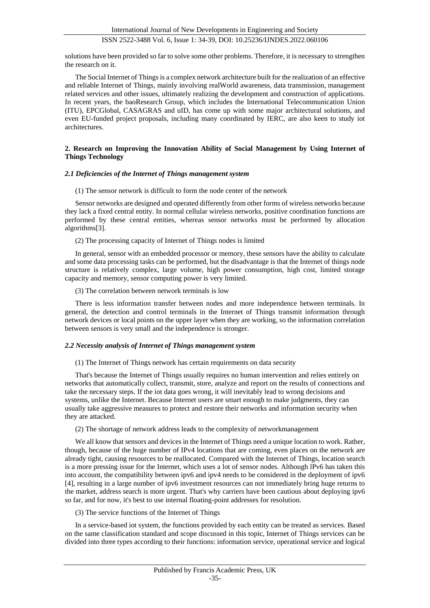solutions have been provided so far to solve some other problems. Therefore, it is necessary to strengthen the research on it.

The Social Internet of Things is a complex network architecture built for the realization of an effective and reliable Internet of Things, mainly involving realWorld awareness, data transmission, management related services and other issues, ultimately realizing the development and construction of applications. In recent years, the baoResearch Group, which includes the International Telecommunication Union (ITU), EPCGlobal, CASAGRAS and uID, has come up with some major architectural solutions, and even EU-funded project proposals, including many coordinated by IERC, are also keen to study iot architectures.

#### **2. Research on Improving the Innovation Ability of Social Management by Using Internet of Things Technology**

# *2.1 Deficiencies of the Internet of Things management system*

(1) The sensor network is difficult to form the node center of the network

Sensor networks are designed and operated differently from other forms of wireless networks because they lack a fixed central entity. In normal cellular wireless networks, positive coordination functions are performed by these central entities, whereas sensor networks must be performed by allocation algorithms[3].

(2) The processing capacity of Internet of Things nodes is limited

In general, sensor with an embedded processor or memory, these sensors have the ability to calculate and some data processing tasks can be performed, but the disadvantage is that the Internet of things node structure is relatively complex, large volume, high power consumption, high cost, limited storage capacity and memory, sensor computing power is very limited.

(3) The correlation between network terminals is low

There is less information transfer between nodes and more independence between terminals. In general, the detection and control terminals in the Internet of Things transmit information through network devices or local points on the upper layer when they are working, so the information correlation between sensors is very small and the independence is stronger.

#### *2.2 Necessity analysis of Internet of Things management system*

(1) The Internet of Things network has certain requirements on data security

That's because the Internet of Things usually requires no human intervention and relies entirely on networks that automatically collect, transmit, store, analyze and report on the results of connections and take the necessary steps. If the iot data goes wrong, it will inevitably lead to wrong decisions and systems, unlike the Internet. Because Internet users are smart enough to make judgments, they can usually take aggressive measures to protect and restore their networks and information security when they are attacked.

(2) The shortage of network address leads to the complexity of networkmanagement

We all know that sensors and devices in the Internet of Things need a unique location to work. Rather, though, because of the huge number of IPv4 locations that are coming, even places on the network are already tight, causing resources to be reallocated. Compared with the Internet of Things, location search is a more pressing issue for the Internet, which uses a lot of sensor nodes. Although lPv6 has taken this into account, the compatibility between ipv6 and ipv4 needs to be considered in the deployment of ipv6 [4], resulting in a large number of ipv6 investment resources can not immediately bring huge returns to the market, address search is more urgent. That's why carriers have been cautious about deploying ipv6 so far, and for now, it's best to use internal floating-point addresses for resolution.

(3) The service functions of the Internet of Things

In a service-based iot system, the functions provided by each entity can be treated as services. Based on the same classification standard and scope discussed in this topic, Internet of Things services can be divided into three types according to their functions: information service, operational service and logical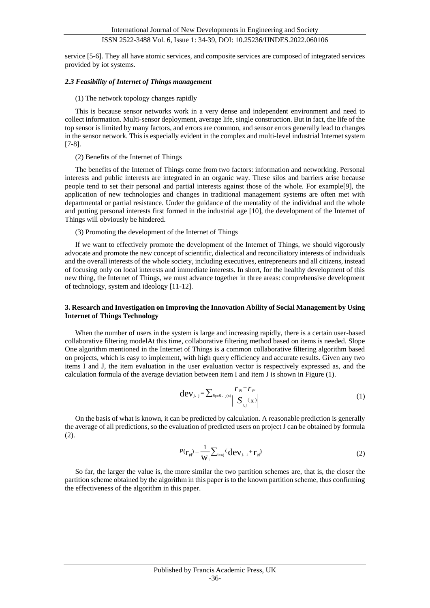service [5-6]. They all have atomic services, and composite services are composed of integrated services provided by iot systems.

#### *2.3 Feasibility of Internet of Things management*

#### (1) The network topology changes rapidly

This is because sensor networks work in a very dense and independent environment and need to collect information. Multi-sensor deployment, average life, single construction. But in fact, the life of the top sensor is limited by many factors, and errors are common, and sensor errors generally lead to changes in the sensor network. This is especially evident in the complex and multi-level industrial Internet system [7-8].

#### (2) Benefits of the Internet of Things

The benefits of the Internet of Things come from two factors: information and networking. Personal interests and public interests are integrated in an organic way. These silos and barriers arise because people tend to set their personal and partial interests against those of the whole. For example[9], the application of new technologies and changes in traditional management systems are often met with departmental or partial resistance. Under the guidance of the mentality of the individual and the whole and putting personal interests first formed in the industrial age [10], the development of the Internet of Things will obviously be hindered.

#### (3) Promoting the development of the Internet of Things

If we want to effectively promote the development of the Internet of Things, we should vigorously advocate and promote the new concept of scientific, dialectical and reconciliatory interests of individuals and the overall interests of the whole society, including executives, entrepreneurs and all citizens, instead of focusing only on local interests and immediate interests. In short, for the healthy development of this new thing, the Internet of Things, we must advance together in three areas: comprehensive development of technology, system and ideology [11-12].

#### **3. Research and Investigation on Improving the Innovation Ability of Social Management by Using Internet of Things Technology**

When the number of users in the system is large and increasing rapidly, there is a certain user-based collaborative filtering modelAt this time, collaborative filtering method based on items is needed. Slope One algorithm mentioned in the Internet of Things is a common collaborative filtering algorithm based on projects, which is easy to implement, with high query efficiency and accurate results. Given any two items I and J, the item evaluation in the user evaluation vector is respectively expressed as, and the calculation formula of the average deviation between item I and item J is shown in Figure (1).

$$
\mathbf{dev}_{j, j} = \sum_{Rp \in S, j(x)} \frac{\boldsymbol{r}_{pj} - \boldsymbol{r}_{pi}}{\left| \sum_{i,j} (x) \right|} \tag{1}
$$

On the basis of what is known, it can be predicted by calculation. A reasonable prediction is generally the average of all predictions, so the evaluation of predicted users on project J can be obtained by formula (2).

$$
P(\mathbf{r}_{\mathrm{pj}}) = \frac{1}{\mathbf{W}_{\mathrm{j}}} \sum_{i \in \mathrm{wj}} (\mathbf{dev}_{\mathrm{j}, i} + \mathbf{r}_{\mathrm{pj}}) \tag{2}
$$

So far, the larger the value is, the more similar the two partition schemes are, that is, the closer the partition scheme obtained by the algorithm in this paper is to the known partition scheme, thus confirming the effectiveness of the algorithm in this paper.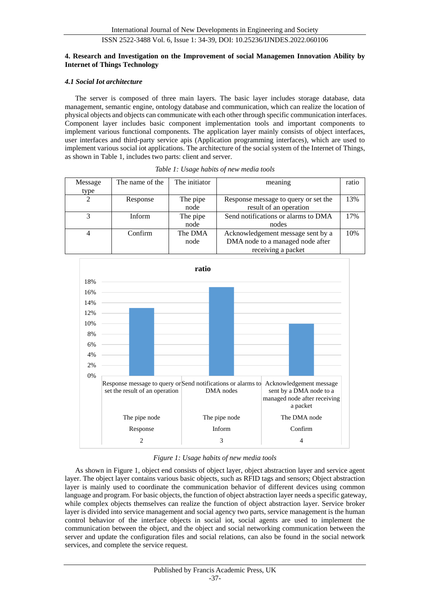# **4. Research and Investigation on the Improvement of social Managemen Innovation Ability by Internet of Things Technology**

# *4.1 Social Iot architecture*

The server is composed of three main layers. The basic layer includes storage database, data management, semantic engine, ontology database and communication, which can realize the location of physical objects and objects can communicate with each other through specific communication interfaces. Component layer includes basic component implementation tools and important components to implement various functional components. The application layer mainly consists of object interfaces, user interfaces and third-party service apis (Application programming interfaces), which are used to implement various social iot applications. The architecture of the social system of the Internet of Things, as shown in Table 1, includes two parts: client and server.

| Message<br>type | The name of the | The initiator    | meaning                                                                                     | ratio |
|-----------------|-----------------|------------------|---------------------------------------------------------------------------------------------|-------|
|                 | Response        | The pipe<br>node | Response message to query or set the<br>result of an operation                              | 13%   |
|                 | Inform          | The pipe<br>node | Send notifications or alarms to DMA<br>nodes                                                | 17%   |
|                 | Confirm         | The DMA<br>node  | Acknowledgement message sent by a<br>DMA node to a managed node after<br>receiving a packet | 10%   |

| Table 1: Usage habits of new media tools |  |  |  |
|------------------------------------------|--|--|--|
|                                          |  |  |  |



*Figure 1: Usage habits of new media tools*

As shown in Figure 1, object end consists of object layer, object abstraction layer and service agent layer. The object layer contains various basic objects, such as RFID tags and sensors; Object abstraction layer is mainly used to coordinate the communication behavior of different devices using common language and program. For basic objects, the function of object abstraction layer needs a specific gateway, while complex objects themselves can realize the function of object abstraction layer. Service broker layer is divided into service management and social agency two parts, service management is the human control behavior of the interface objects in social iot, social agents are used to implement the communication between the object, and the object and social networking communication between the server and update the configuration files and social relations, can also be found in the social network services, and complete the service request.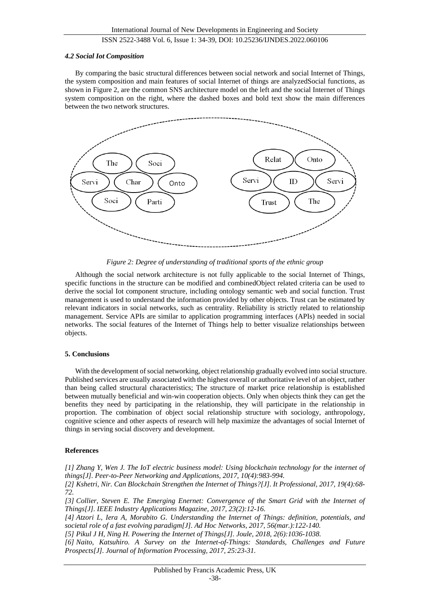#### *4.2 Social Iot Composition*

By comparing the basic structural differences between social network and social Internet of Things, the system composition and main features of social Internet of things are analyzedSocial functions, as shown in Figure 2, are the common SNS architecture model on the left and the social Internet of Things system composition on the right, where the dashed boxes and bold text show the main differences between the two network structures.



*Figure 2: Degree of understanding of traditional sports of the ethnic group*

Although the social network architecture is not fully applicable to the social Internet of Things, specific functions in the structure can be modified and combinedObject related criteria can be used to derive the social Iot component structure, including ontology semantic web and social function. Trust management is used to understand the information provided by other objects. Trust can be estimated by relevant indicators in social networks, such as centrality. Reliability is strictly related to relationship management. Service APIs are similar to application programming interfaces (APIs) needed in social networks. The social features of the Internet of Things help to better visualize relationships between objects.

#### **5. Conclusions**

With the development of social networking, object relationship gradually evolved into social structure. Published services are usually associated with the highest overall or authoritative level of an object, rather than being called structural characteristics; The structure of market price relationship is established between mutually beneficial and win-win cooperation objects. Only when objects think they can get the benefits they need by participating in the relationship, they will participate in the relationship in proportion. The combination of object social relationship structure with sociology, anthropology, cognitive science and other aspects of research will help maximize the advantages of social Internet of things in serving social discovery and development.

#### **References**

*[1] Zhang Y, Wen J. The IoT electric business model: Using blockchain technology for the internet of things[J]. Peer-to-Peer Networking and Applications, 2017, 10(4):983-994.* 

*[2] Kshetri, Nir. Can Blockchain Strengthen the Internet of Things?[J]. It Professional, 2017, 19(4):68- 72.* 

*[3] Collier, Steven E. The Emerging Enernet: Convergence of the Smart Grid with the Internet of Things[J]. IEEE Industry Applications Magazine, 2017, 23(2):12-16.* 

*[4] Atzori L, Iera A, Morabito G. Understanding the Internet of Things: definition, potentials, and societal role of a fast evolving paradigm[J]. Ad Hoc Networks, 2017, 56(mar.):122-140.*

*[5] Pikul J H, Ning H. Powering the Internet of Things[J]. Joule, 2018, 2(6):1036-1038.*

*[6] Naito, Katsuhiro. A Survey on the Internet-of-Things: Standards, Challenges and Future Prospects[J]. Journal of Information Processing, 2017, 25:23-31.*